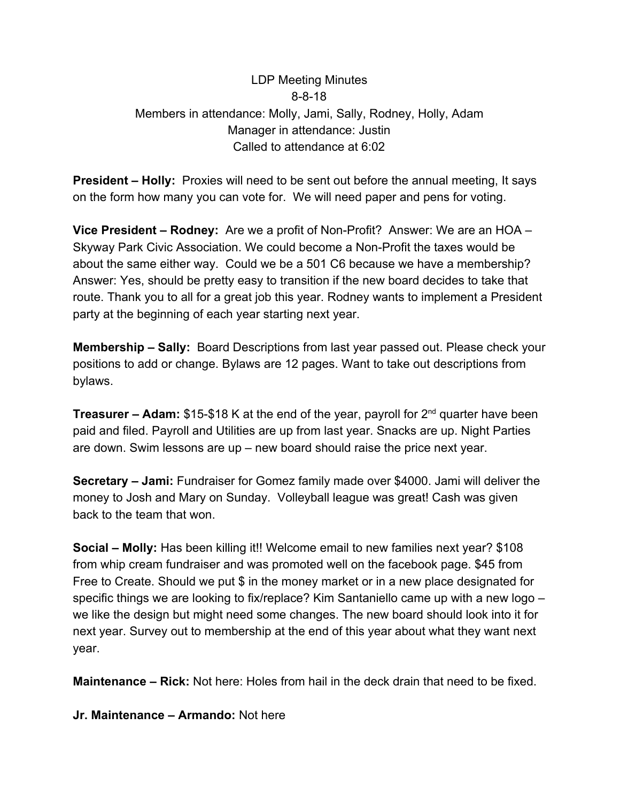## LDP Meeting Minutes 8-8-18 Members in attendance: Molly, Jami, Sally, Rodney, Holly, Adam Manager in attendance: Justin Called to attendance at 6:02

**President – Holly:** Proxies will need to be sent out before the annual meeting, It says on the form how many you can vote for. We will need paper and pens for voting.

**Vice President – Rodney:** Are we a profit of Non-Profit? Answer: We are an HOA – Skyway Park Civic Association. We could become a Non-Profit the taxes would be about the same either way. Could we be a 501 C6 because we have a membership? Answer: Yes, should be pretty easy to transition if the new board decides to take that route. Thank you to all for a great job this year. Rodney wants to implement a President party at the beginning of each year starting next year.

**Membership – Sally:** Board Descriptions from last year passed out. Please check your positions to add or change. Bylaws are 12 pages. Want to take out descriptions from bylaws.

**Treasurer – Adam:** \$15-\$18 K at the end of the year, payroll for 2nd quarter have been paid and filed. Payroll and Utilities are up from last year. Snacks are up. Night Parties are down. Swim lessons are up – new board should raise the price next year.

**Secretary – Jami:** Fundraiser for Gomez family made over \$4000. Jami will deliver the money to Josh and Mary on Sunday. Volleyball league was great! Cash was given back to the team that won.

**Social – Molly:** Has been killing it!! Welcome email to new families next year? \$108 from whip cream fundraiser and was promoted well on the facebook page. \$45 from Free to Create. Should we put \$ in the money market or in a new place designated for specific things we are looking to fix/replace? Kim Santaniello came up with a new logo – we like the design but might need some changes. The new board should look into it for next year. Survey out to membership at the end of this year about what they want next year.

**Maintenance – Rick:** Not here: Holes from hail in the deck drain that need to be fixed.

**Jr. Maintenance – Armando:** Not here